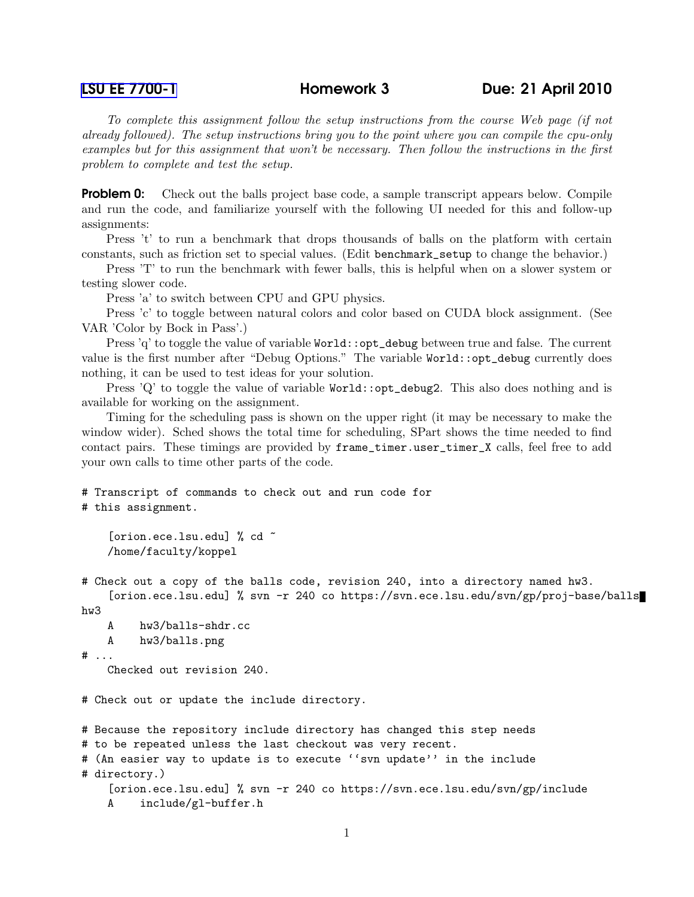To complete this assignment follow the setup instructions from the course Web page (if not already followed). The setup instructions bring you to the point where you can compile the cpu-only examples but for this assignment that won't be necessary. Then follow the instructions in the first problem to complete and test the setup.

**Problem 0:** Check out the balls project base code, a sample transcript appears below. Compile and run the code, and familiarize yourself with the following UI needed for this and follow-up assignments:

Press 't' to run a benchmark that drops thousands of balls on the platform with certain constants, such as friction set to special values. (Edit benchmark\_setup to change the behavior.)

Press 'T' to run the benchmark with fewer balls, this is helpful when on a slower system or testing slower code.

Press 'a' to switch between CPU and GPU physics.

Press 'c' to toggle between natural colors and color based on CUDA block assignment. (See VAR 'Color by Bock in Pass'.)

Press 'q' to toggle the value of variable World::opt\_debug between true and false. The current value is the first number after "Debug Options." The variable World::opt\_debug currently does nothing, it can be used to test ideas for your solution.

Press 'Q' to toggle the value of variable  $Word::opt_debug2$ . This also does nothing and is available for working on the assignment.

Timing for the scheduling pass is shown on the upper right (it may be necessary to make the window wider). Sched shows the total time for scheduling, SPart shows the time needed to find contact pairs. These timings are provided by frame\_timer.user\_timer\_X calls, feel free to add your own calls to time other parts of the code.

```
# Transcript of commands to check out and run code for
# this assignment.
    [orion.ece.lsu.edu] % cd ~
    /home/faculty/koppel
# Check out a copy of the balls code, revision 240, into a directory named hw3.
    [orion.ece.lsu.edu] % svn -r 240 co https://svn.ece.lsu.edu/svn/gp/proj-base/balls
hw3
   A hw3/balls-shdr.cc
    A hw3/balls.png
# ...
    Checked out revision 240.
# Check out or update the include directory.
# Because the repository include directory has changed this step needs
# to be repeated unless the last checkout was very recent.
# (An easier way to update is to execute ''svn update'' in the include
# directory.)
    [orion.ece.lsu.edu] % svn -r 240 co https://svn.ece.lsu.edu/svn/gp/include
    A include/gl-buffer.h
```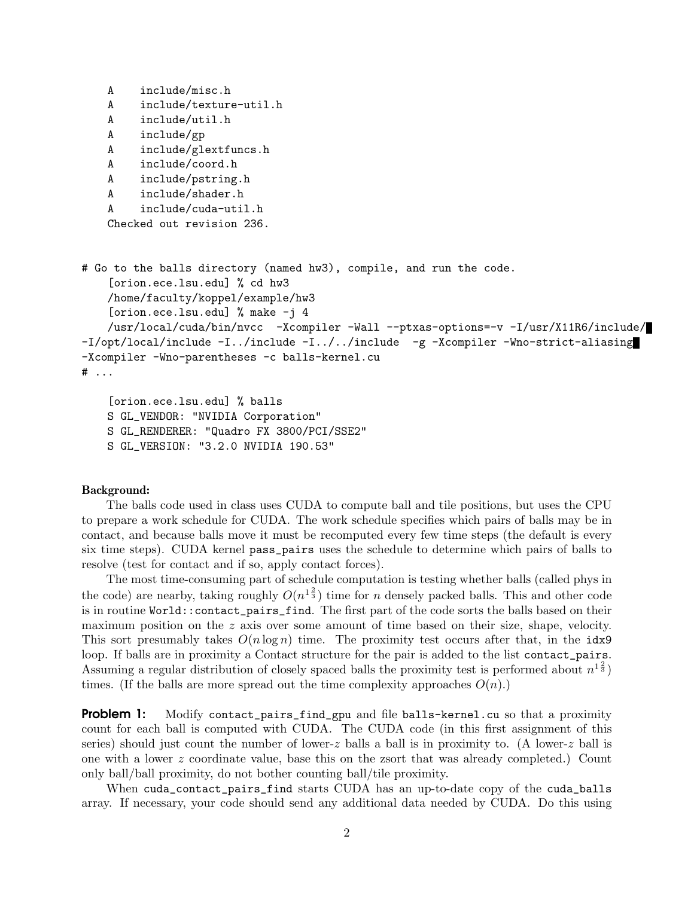```
A include/misc.h
   A include/texture-util.h
   A include/util.h
   A include/gp
   A include/glextfuncs.h
   A include/coord.h
   A include/pstring.h
   A include/shader.h
   A include/cuda-util.h
   Checked out revision 236.
# Go to the balls directory (named hw3), compile, and run the code.
    [orion.ece.lsu.edu] % cd hw3
   /home/faculty/koppel/example/hw3
    [orion.ece.lsu.edu] % make -j 4
   /usr/local/cuda/bin/nvcc -Xcompiler -Wall --ptxas-options=-v -I/usr/X11R6/include/
-I/opt/local/include -I../include -I../../include -g -Xcompiler -Wno-strict-aliasing
-Xcompiler -Wno-parentheses -c balls-kernel.cu
# ...
```

```
[orion.ece.lsu.edu] % balls
S GL_VENDOR: "NVIDIA Corporation"
S GL_RENDERER: "Quadro FX 3800/PCI/SSE2"
S GL_VERSION: "3.2.0 NVIDIA 190.53"
```
## Background:

The balls code used in class uses CUDA to compute ball and tile positions, but uses the CPU to prepare a work schedule for CUDA. The work schedule specifies which pairs of balls may be in contact, and because balls move it must be recomputed every few time steps (the default is every six time steps). CUDA kernel pass\_pairs uses the schedule to determine which pairs of balls to resolve (test for contact and if so, apply contact forces).

The most time-consuming part of schedule computation is testing whether balls (called phys in the code) are nearby, taking roughly  $O(n^{1\frac{2}{3}})$  time for n densely packed balls. This and other code is in routine World::contact\_pairs\_find. The first part of the code sorts the balls based on their maximum position on the z axis over some amount of time based on their size, shape, velocity. This sort presumably takes  $O(n \log n)$  time. The proximity test occurs after that, in the idx9 loop. If balls are in proximity a Contact structure for the pair is added to the list contact\_pairs. Assuming a regular distribution of closely spaced balls the proximity test is performed about  $n^{1\frac{2}{3}}$ ) times. (If the balls are more spread out the time complexity approaches  $O(n)$ .)

**Problem 1:** Modify contact\_pairs\_find\_gpu and file balls-kernel.cu so that a proximity count for each ball is computed with CUDA. The CUDA code (in this first assignment of this series) should just count the number of lower-z balls a ball is in proximity to. (A lower-z ball is one with a lower z coordinate value, base this on the zsort that was already completed.) Count only ball/ball proximity, do not bother counting ball/tile proximity.

When cuda\_contact\_pairs\_find starts CUDA has an up-to-date copy of the cuda\_balls array. If necessary, your code should send any additional data needed by CUDA. Do this using